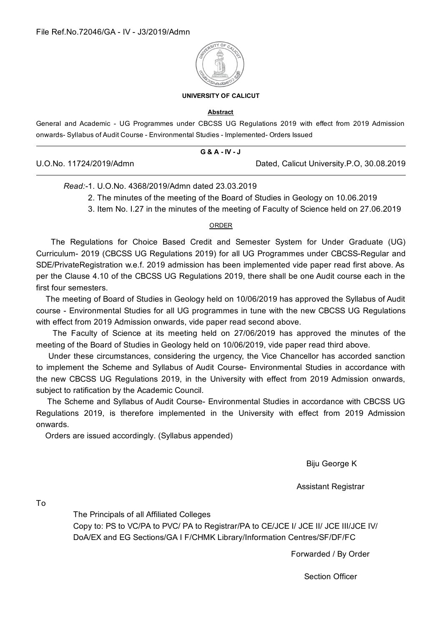

#### **UNIVERSITY OF CALICUT**

#### Abstract

General and Academic - UG Programmes under CBCSS UG Regulations 2019 with effect from 2019 Admission onwards- Syllabus of Audit Course - Environmental Studies - Implemented- Orders Issued

|                         | G & A - IV - J |                                           |
|-------------------------|----------------|-------------------------------------------|
| U.O.No. 11724/2019/Admn |                | Dated, Calicut University.P.O, 30.08.2019 |

### Read:-1 U O No. 4368/2019/Admn dated 23 03 2019

- 2. The minutes of the meeting of the Board of Studies in Geology on 10.06.2019
- 3. Item No. 1.27 in the minutes of the meeting of Faculty of Science held on 27.06.2019

### ORDER

The Regulations for Choice Based Credit and Semester System for Under Graduate (UG) Curriculum- 2019 (CBCSS UG Regulations 2019) for all UG Programmes under CBCSS-Regular and SDE/PrivateRegistration w.e.f. 2019 admission has been implemented vide paper read first above. As per the Clause 4.10 of the CBCSS UG Regulations 2019, there shall be one Audit course each in the first four semesters.

The meeting of Board of Studies in Geology held on 10/06/2019 has approved the Syllabus of Audit course - Environmental Studies for all UG programmes in tune with the new CBCSS UG Regulations with effect from 2019 Admission onwards, vide paper read second above.

The Faculty of Science at its meeting held on 27/06/2019 has approved the minutes of the meeting of the Board of Studies in Geology held on 10/06/2019, vide paper read third above.

Under these circumstances, considering the urgency, the Vice Chancellor has accorded sanction to implement the Scheme and Syllabus of Audit Course- Environmental Studies in accordance with the new CBCSS UG Regulations 2019, in the University with effect from 2019 Admission onwards, subject to ratification by the Academic Council.

The Scheme and Syllabus of Audit Course- Environmental Studies in accordance with CBCSS UG Regulations 2019, is therefore implemented in the University with effect from 2019 Admission onwards.

Orders are issued accordingly. (Syllabus appended)

Biju George K

**Assistant Registrar** 

 $To$ 

The Principals of all Affiliated Colleges Copy to: PS to VC/PA to PVC/ PA to Registrar/PA to CE/JCE I/ JCE II/ JCE III/JCE IV/ DoA/EX and EG Sections/GA I F/CHMK Library/Information Centres/SF/DF/FC

Forwarded / By Order

**Section Officer**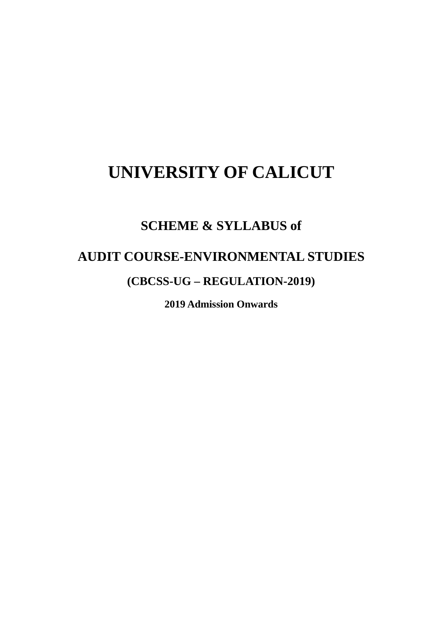# **UNIVERSITY OF CALICUT**

## **SCHEME & SYLLABUS of**

### **AUDIT COURSE-ENVIRONMENTAL STUDIES**

### (CBCSS-UG – REGULATION-2019)

**2019 Admission Onwards**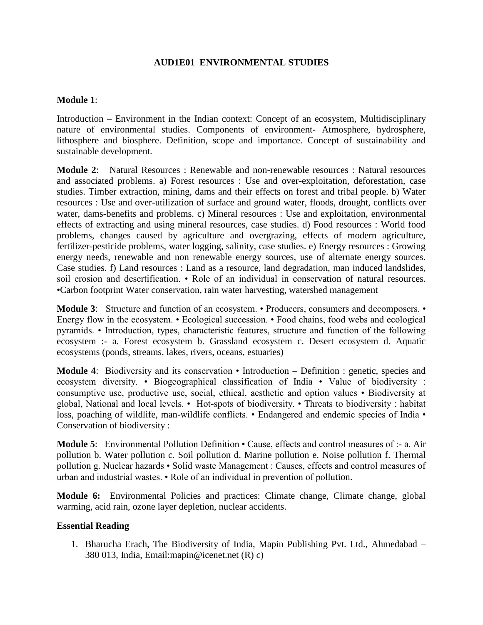### **AUD1E01 ENVIRONMENTAL STUDIES**

### **Module 1**:

Introduction – Environment in the Indian context: Concept of an ecosystem, Multidisciplinary nature of environmental studies. Components of environment- Atmosphere, hydrosphere, lithosphere and biosphere. Definition, scope and importance. Concept of sustainability and sustainable development.

**Module 2**: Natural Resources : Renewable and non-renewable resources : Natural resources and associated problems. a) Forest resources : Use and over-exploitation, deforestation, case studies. Timber extraction, mining, dams and their effects on forest and tribal people. b) Water resources : Use and over-utilization of surface and ground water, floods, drought, conflicts over water, dams-benefits and problems. c) Mineral resources : Use and exploitation, environmental effects of extracting and using mineral resources, case studies. d) Food resources : World food problems, changes caused by agriculture and overgrazing, effects of modern agriculture, fertilizer-pesticide problems, water logging, salinity, case studies. e) Energy resources : Growing energy needs, renewable and non renewable energy sources, use of alternate energy sources. Case studies. f) Land resources : Land as a resource, land degradation, man induced landslides, soil erosion and desertification. • Role of an individual in conservation of natural resources. •Carbon footprint Water conservation, rain water harvesting, watershed management

**Module 3:** Structure and function of an ecosystem. • Producers, consumers and decomposers. • Energy flow in the ecosystem. • Ecological succession. • Food chains, food webs and ecological pyramids. • Introduction, types, characteristic features, structure and function of the following ecosystem :- a. Forest ecosystem b. Grassland ecosystem c. Desert ecosystem d. Aquatic ecosystems (ponds, streams, lakes, rivers, oceans, estuaries)

**Module 4**: Biodiversity and its conservation • Introduction – Definition : genetic, species and ecosystem diversity. • Biogeographical classification of India • Value of biodiversity : consumptive use, productive use, social, ethical, aesthetic and option values • Biodiversity at global, National and local levels. • Hot-spots of biodiversity. • Threats to biodiversity : habitat loss, poaching of wildlife, man-wildlife conflicts. • Endangered and endemic species of India • Conservation of biodiversity :

**Module 5**: Environmental Pollution Definition • Cause, effects and control measures of :- a. Air pollution b. Water pollution c. Soil pollution d. Marine pollution e. Noise pollution f. Thermal pollution g. Nuclear hazards • Solid waste Management : Causes, effects and control measures of urban and industrial wastes. • Role of an individual in prevention of pollution.

**Module 6:** Environmental Policies and practices: Climate change, Climate change, global warming, acid rain, ozone layer depletion, nuclear accidents.

### **Essential Reading**

1. Bharucha Erach, The Biodiversity of India, Mapin Publishing Pvt. Ltd., Ahmedabad – 380 013, India, Email:mapin@icenet.net (R) c)